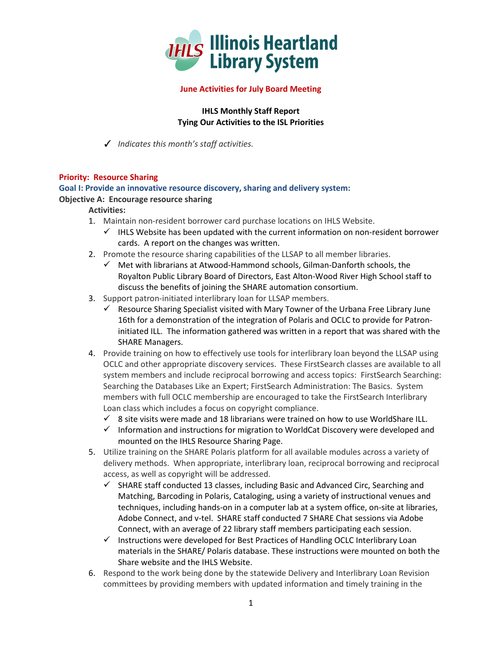

# **June Activities for July Board Meeting**

**IHLS Monthly Staff Report Tying Our Activities to the ISL Priorities**

✓ *Indicates this month's staff activities.*

# **Priority: Resource Sharing**

# **Goal I: Provide an innovative resource discovery, sharing and delivery system:**

# **Objective A: Encourage resource sharing**

# **Activities:**

- 1. Maintain non-resident borrower card purchase locations on IHLS Website.
	- $\checkmark$  IHLS Website has been updated with the current information on non-resident borrower cards. A report on the changes was written.
- 2. Promote the resource sharing capabilities of the LLSAP to all member libraries.
	- $\checkmark$  Met with librarians at Atwood-Hammond schools, Gilman-Danforth schools, the Royalton Public Library Board of Directors, East Alton-Wood River High School staff to discuss the benefits of joining the SHARE automation consortium.
- 3. Support patron-initiated interlibrary loan for LLSAP members.
	- $\checkmark$  Resource Sharing Specialist visited with Mary Towner of the Urbana Free Library June 16th for a demonstration of the integration of Polaris and OCLC to provide for Patroninitiated ILL. The information gathered was written in a report that was shared with the SHARE Managers.
- 4. Provide training on how to effectively use tools for interlibrary loan beyond the LLSAP using OCLC and other appropriate discovery services. These FirstSearch classes are available to all system members and include reciprocal borrowing and access topics: FirstSearch Searching: Searching the Databases Like an Expert; FirstSearch Administration: The Basics. System members with full OCLC membership are encouraged to take the FirstSearch Interlibrary Loan class which includes a focus on copyright compliance.
	- $\checkmark$  8 site visits were made and 18 librarians were trained on how to use WorldShare ILL.
	- $\checkmark$  Information and instructions for migration to WorldCat Discovery were developed and mounted on the IHLS Resource Sharing Page.
- 5. Utilize training on the SHARE Polaris platform for all available modules across a variety of delivery methods. When appropriate, interlibrary loan, reciprocal borrowing and reciprocal access, as well as copyright will be addressed.
	- $\checkmark$  SHARE staff conducted 13 classes, including Basic and Advanced Circ, Searching and Matching, Barcoding in Polaris, Cataloging, using a variety of instructional venues and techniques, including hands-on in a computer lab at a system office, on-site at libraries, Adobe Connect, and v-tel. SHARE staff conducted 7 SHARE Chat sessions via Adobe Connect, with an average of 22 library staff members participating each session.
	- $\checkmark$  Instructions were developed for Best Practices of Handling OCLC Interlibrary Loan materials in the SHARE/ Polaris database. These instructions were mounted on both the Share website and the IHLS Website.
- 6. Respond to the work being done by the statewide Delivery and Interlibrary Loan Revision committees by providing members with updated information and timely training in the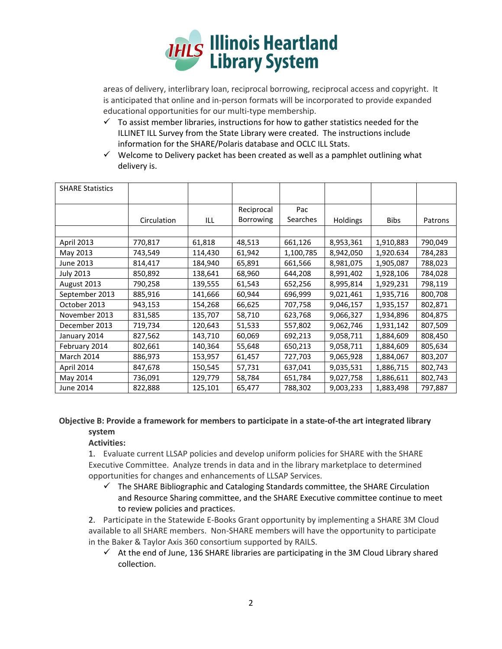

areas of delivery, interlibrary loan, reciprocal borrowing, reciprocal access and copyright. It is anticipated that online and in-person formats will be incorporated to provide expanded educational opportunities for our multi-type membership.

- $\checkmark$  To assist member libraries, instructions for how to gather statistics needed for the ILLINET ILL Survey from the State Library were created. The instructions include information for the SHARE/Polaris database and OCLC ILL Stats.
- $\checkmark$  Welcome to Delivery packet has been created as well as a pamphlet outlining what delivery is.

| <b>SHARE Statistics</b> |             |         |                  |                 |                 |             |         |
|-------------------------|-------------|---------|------------------|-----------------|-----------------|-------------|---------|
|                         |             |         | Reciprocal       | Pac             |                 |             |         |
|                         | Circulation | ILL     | <b>Borrowing</b> | <b>Searches</b> | <b>Holdings</b> | <b>Bibs</b> | Patrons |
|                         |             |         |                  |                 |                 |             |         |
| April 2013              | 770,817     | 61,818  | 48,513           | 661,126         | 8,953,361       | 1,910,883   | 790,049 |
| May 2013                | 743,549     | 114,430 | 61,942           | 1,100,785       | 8,942,050       | 1,920.634   | 784,283 |
| June 2013               | 814,417     | 184,940 | 65,891           | 661,566         | 8,981,075       | 1,905,087   | 788,023 |
| <b>July 2013</b>        | 850,892     | 138,641 | 68,960           | 644,208         | 8,991,402       | 1,928,106   | 784,028 |
| August 2013             | 790,258     | 139,555 | 61,543           | 652,256         | 8,995,814       | 1,929,231   | 798,119 |
| September 2013          | 885,916     | 141,666 | 60,944           | 696,999         | 9,021,461       | 1,935,716   | 800,708 |
| October 2013            | 943,153     | 154,268 | 66,625           | 707,758         | 9,046,157       | 1,935,157   | 802,871 |
| November 2013           | 831,585     | 135,707 | 58,710           | 623,768         | 9,066,327       | 1,934,896   | 804,875 |
| December 2013           | 719,734     | 120,643 | 51,533           | 557,802         | 9,062,746       | 1,931,142   | 807,509 |
| January 2014            | 827,562     | 143,710 | 60,069           | 692,213         | 9,058,711       | 1,884,609   | 808,450 |
| February 2014           | 802,661     | 140,364 | 55,648           | 650,213         | 9,058,711       | 1,884,609   | 805,634 |
| March 2014              | 886,973     | 153,957 | 61,457           | 727,703         | 9,065,928       | 1,884,067   | 803,207 |
| April 2014              | 847,678     | 150,545 | 57,731           | 637,041         | 9,035,531       | 1,886,715   | 802,743 |
| May 2014                | 736,091     | 129,779 | 58,784           | 651,784         | 9,027,758       | 1,886,611   | 802,743 |
| June 2014               | 822,888     | 125,101 | 65,477           | 788,302         | 9,003,233       | 1,883,498   | 797,887 |

# **Objective B: Provide a framework for members to participate in a state-of-the art integrated library system**

# **Activities:**

1. Evaluate current LLSAP policies and develop uniform policies for SHARE with the SHARE Executive Committee. Analyze trends in data and in the library marketplace to determined opportunities for changes and enhancements of LLSAP Services.

 $\checkmark$  The SHARE Bibliographic and Cataloging Standards committee, the SHARE Circulation and Resource Sharing committee, and the SHARE Executive committee continue to meet to review policies and practices.

2. Participate in the Statewide E-Books Grant opportunity by implementing a SHARE 3M Cloud available to all SHARE members. Non-SHARE members will have the opportunity to participate in the Baker & Taylor Axis 360 consortium supported by RAILS.

 $\checkmark$  At the end of June, 136 SHARE libraries are participating in the 3M Cloud Library shared collection.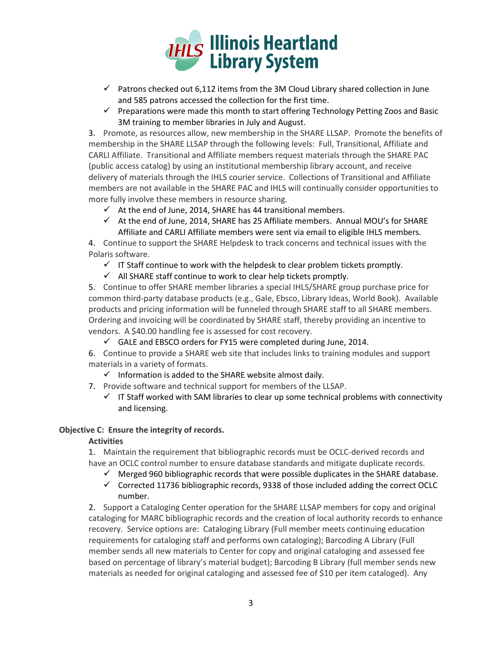

- $\checkmark$  Patrons checked out 6,112 items from the 3M Cloud Library shared collection in June and 585 patrons accessed the collection for the first time.
- $\checkmark$  Preparations were made this month to start offering Technology Petting Zoos and Basic 3M training to member libraries in July and August.

3. Promote, as resources allow, new membership in the SHARE LLSAP. Promote the benefits of membership in the SHARE LLSAP through the following levels: Full, Transitional, Affiliate and CARLI Affiliate. Transitional and Affiliate members request materials through the SHARE PAC (public access catalog) by using an institutional membership library account, and receive delivery of materials through the IHLS courier service. Collections of Transitional and Affiliate members are not available in the SHARE PAC and IHLS will continually consider opportunities to more fully involve these members in resource sharing.

- $\checkmark$  At the end of June, 2014, SHARE has 44 transitional members.
- $\checkmark$  At the end of June, 2014, SHARE has 25 Affiliate members. Annual MOU's for SHARE Affiliate and CARLI Affiliate members were sent via email to eligible IHLS members.

4. Continue to support the SHARE Helpdesk to track concerns and technical issues with the Polaris software.

- $\checkmark$  IT Staff continue to work with the helpdesk to clear problem tickets promptly.
- $\checkmark$  All SHARE staff continue to work to clear help tickets promptly.

5. Continue to offer SHARE member libraries a special IHLS/SHARE group purchase price for common third-party database products (e.g., Gale, Ebsco, Library Ideas, World Book). Available products and pricing information will be funneled through SHARE staff to all SHARE members. Ordering and invoicing will be coordinated by SHARE staff, thereby providing an incentive to vendors. A \$40.00 handling fee is assessed for cost recovery.

 $\checkmark$  GALE and EBSCO orders for FY15 were completed during June, 2014.

6. Continue to provide a SHARE web site that includes links to training modules and support materials in a variety of formats.

- $\checkmark$  Information is added to the SHARE website almost daily.
- 7. Provide software and technical support for members of the LLSAP.
	- $\checkmark$  IT Staff worked with SAM libraries to clear up some technical problems with connectivity and licensing.

# **Objective C: Ensure the integrity of records.**

# **Activities**

1. Maintain the requirement that bibliographic records must be OCLC-derived records and have an OCLC control number to ensure database standards and mitigate duplicate records.

- $\checkmark$  Merged 960 bibliographic records that were possible duplicates in the SHARE database.
- $\checkmark$  Corrected 11736 bibliographic records, 9338 of those included adding the correct OCLC number.

2. Support a Cataloging Center operation for the SHARE LLSAP members for copy and original cataloging for MARC bibliographic records and the creation of local authority records to enhance recovery. Service options are: Cataloging Library (Full member meets continuing education requirements for cataloging staff and performs own cataloging); Barcoding A Library (Full member sends all new materials to Center for copy and original cataloging and assessed fee based on percentage of library's material budget); Barcoding B Library (full member sends new materials as needed for original cataloging and assessed fee of \$10 per item cataloged). Any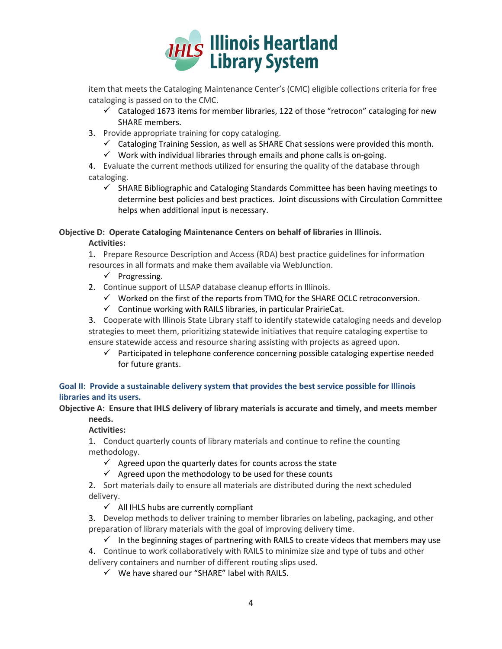

item that meets the Cataloging Maintenance Center's (CMC) eligible collections criteria for free cataloging is passed on to the CMC.

- $\checkmark$  Cataloged 1673 items for member libraries, 122 of those "retrocon" cataloging for new SHARE members.
- 3. Provide appropriate training for copy cataloging.
	- $\checkmark$  Cataloging Training Session, as well as SHARE Chat sessions were provided this month.
	- $\checkmark$  Work with individual libraries through emails and phone calls is on-going.

4. Evaluate the current methods utilized for ensuring the quality of the database through cataloging.

 $\checkmark$  SHARE Bibliographic and Cataloging Standards Committee has been having meetings to determine best policies and best practices. Joint discussions with Circulation Committee helps when additional input is necessary.

# **Objective D: Operate Cataloging Maintenance Centers on behalf of libraries in Illinois.**

# **Activities:**

1. Prepare Resource Description and Access (RDA) best practice guidelines for information resources in all formats and make them available via WebJunction.

- $\checkmark$  Progressing.
- 2. Continue support of LLSAP database cleanup efforts in Illinois.
	- $\checkmark$  Worked on the first of the reports from TMQ for the SHARE OCLC retroconversion.
	- $\checkmark$  Continue working with RAILS libraries, in particular PrairieCat.

3. Cooperate with Illinois State Library staff to identify statewide cataloging needs and develop strategies to meet them, prioritizing statewide initiatives that require cataloging expertise to ensure statewide access and resource sharing assisting with projects as agreed upon.

 $\checkmark$  Participated in telephone conference concerning possible cataloging expertise needed for future grants.

# **Goal II: Provide a sustainable delivery system that provides the best service possible for Illinois libraries and its users.**

**Objective A: Ensure that IHLS delivery of library materials is accurate and timely, and meets member needs.**

**Activities:**

1. Conduct quarterly counts of library materials and continue to refine the counting methodology.

 $\checkmark$  Agreed upon the quarterly dates for counts across the state

 $\checkmark$  Agreed upon the methodology to be used for these counts

2. Sort materials daily to ensure all materials are distributed during the next scheduled delivery.

- $\checkmark$  All IHLS hubs are currently compliant
- 3. Develop methods to deliver training to member libraries on labeling, packaging, and other preparation of library materials with the goal of improving delivery time.

 $\checkmark$  In the beginning stages of partnering with RAILS to create videos that members may use 4. Continue to work collaboratively with RAILS to minimize size and type of tubs and other delivery containers and number of different routing slips used.

 $\checkmark$  We have shared our "SHARE" label with RAILS.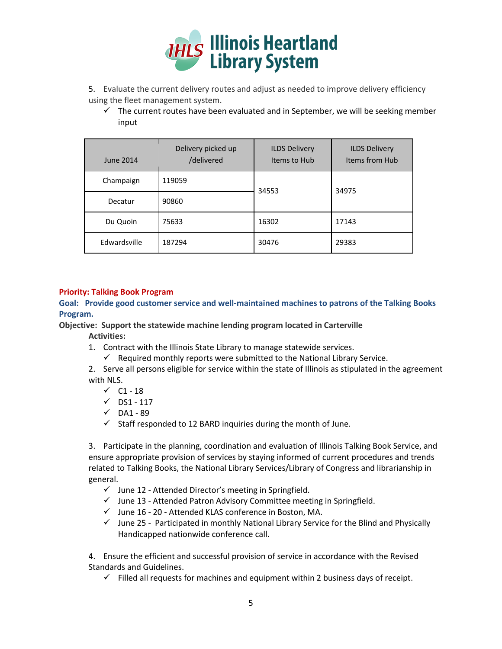

- 5. Evaluate the current delivery routes and adjust as needed to improve delivery efficiency using the fleet management system.
	- $\checkmark$  The current routes have been evaluated and in September, we will be seeking member input

| June 2014    | Delivery picked up<br>/delivered | <b>ILDS Delivery</b><br>Items to Hub | <b>ILDS Delivery</b><br>Items from Hub |  |
|--------------|----------------------------------|--------------------------------------|----------------------------------------|--|
| Champaign    | 119059                           | 34553                                | 34975                                  |  |
| Decatur      | 90860                            |                                      |                                        |  |
| Du Quoin     | 75633                            | 16302                                | 17143                                  |  |
| Edwardsville | 187294                           | 30476                                | 29383                                  |  |

# **Priority: Talking Book Program**

**Goal: Provide good customer service and well-maintained machines to patrons of the Talking Books Program.** 

**Objective: Support the statewide machine lending program located in Carterville**

**Activities:**

- 1. Contract with the Illinois State Library to manage statewide services.
	- $\checkmark$  Required monthly reports were submitted to the National Library Service.

2. Serve all persons eligible for service within the state of Illinois as stipulated in the agreement with NLS.

- $\checkmark$  C1 18
- $\checkmark$  DS1 117
- $\checkmark$  DA1 89
- $\checkmark$  Staff responded to 12 BARD inquiries during the month of June.

3. Participate in the planning, coordination and evaluation of Illinois Talking Book Service, and ensure appropriate provision of services by staying informed of current procedures and trends related to Talking Books, the National Library Services/Library of Congress and librarianship in general.

- $\checkmark$  June 12 Attended Director's meeting in Springfield.
- $\checkmark$  June 13 Attended Patron Advisory Committee meeting in Springfield.
- $\checkmark$  June 16 20 Attended KLAS conference in Boston, MA.
- $\checkmark$  June 25 Participated in monthly National Library Service for the Blind and Physically Handicapped nationwide conference call.

4. Ensure the efficient and successful provision of service in accordance with the Revised Standards and Guidelines.

 $\checkmark$  Filled all requests for machines and equipment within 2 business days of receipt.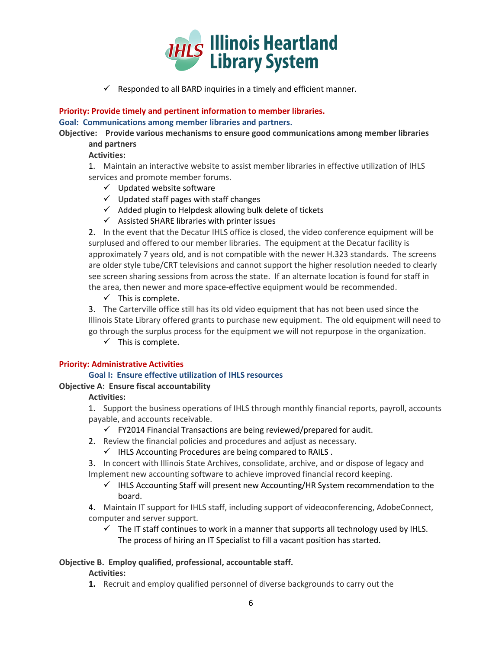

 $\checkmark$  Responded to all BARD inquiries in a timely and efficient manner.

**Priority: Provide timely and pertinent information to member libraries. Goal: Communications among member libraries and partners.**

**Objective: Provide various mechanisms to ensure good communications among member libraries and partners**

**Activities:**

1. Maintain an interactive website to assist member libraries in effective utilization of IHLS services and promote member forums.

- $\checkmark$  Updated website software
- $\checkmark$  Updated staff pages with staff changes
- $\checkmark$  Added plugin to Helpdesk allowing bulk delete of tickets
- $\checkmark$  Assisted SHARE libraries with printer issues

2. In the event that the Decatur IHLS office is closed, the video conference equipment will be surplused and offered to our member libraries. The equipment at the Decatur facility is approximately 7 years old, and is not compatible with the newer H.323 standards. The screens are older style tube/CRT televisions and cannot support the higher resolution needed to clearly see screen sharing sessions from across the state. If an alternate location is found for staff in the area, then newer and more space-effective equipment would be recommended.

 $\checkmark$  This is complete.

3. The Carterville office still has its old video equipment that has not been used since the Illinois State Library offered grants to purchase new equipment. The old equipment will need to go through the surplus process for the equipment we will not repurpose in the organization.

 $\checkmark$  This is complete.

# **Priority: Administrative Activities**

# **Goal I: Ensure effective utilization of IHLS resources**

# **Objective A: Ensure fiscal accountability**

#### **Activities:**

1. Support the business operations of IHLS through monthly financial reports, payroll, accounts payable, and accounts receivable.

- $\checkmark$  FY2014 Financial Transactions are being reviewed/prepared for audit.
- 2. Review the financial policies and procedures and adjust as necessary.
	- $\checkmark$  IHLS Accounting Procedures are being compared to RAILS.

3. In concert with Illinois State Archives, consolidate, archive, and or dispose of legacy and Implement new accounting software to achieve improved financial record keeping.

 $\checkmark$  IHLS Accounting Staff will present new Accounting/HR System recommendation to the board.

4. Maintain IT support for IHLS staff, including support of videoconferencing, AdobeConnect, computer and server support.

 $\checkmark$  The IT staff continues to work in a manner that supports all technology used by IHLS. The process of hiring an IT Specialist to fill a vacant position has started.

# **Objective B. Employ qualified, professional, accountable staff.**

# **Activities:**

**1.** Recruit and employ qualified personnel of diverse backgrounds to carry out the